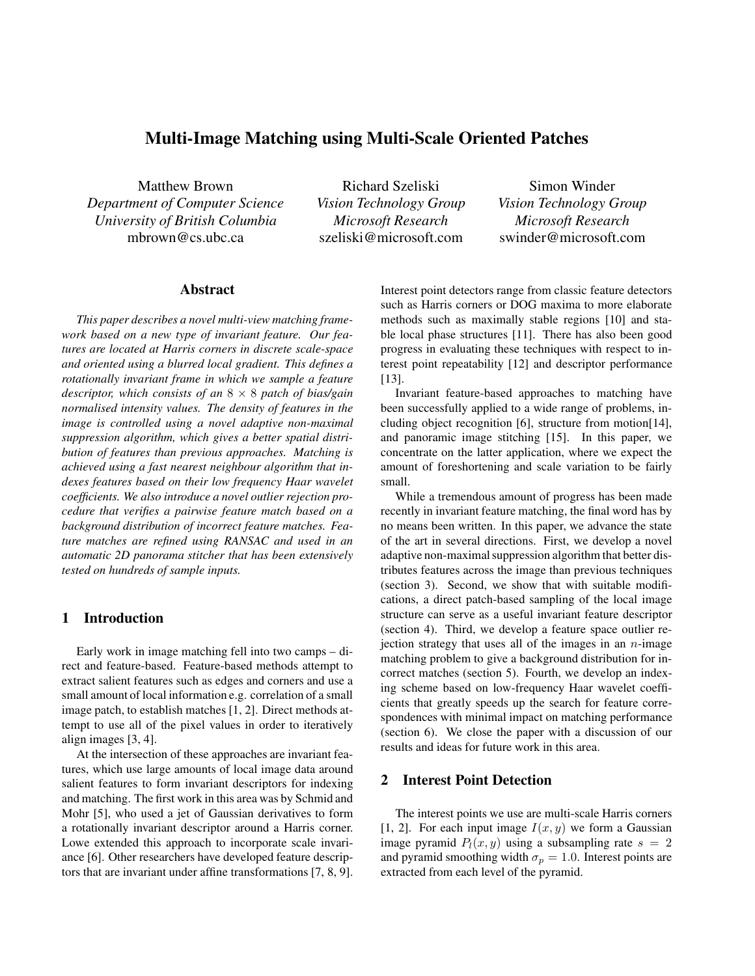# **Multi-Image Matching using Multi-Scale Oriented Patches**

Matthew Brown *Department of Computer Science University of British Columbia* mbrown@cs.ubc.ca

Richard Szeliski *Vision Technology Group Microsoft Research* szeliski@microsoft.com

Simon Winder *Vision Technology Group Microsoft Research* swinder@microsoft.com

#### **Abstract**

*This paper describes a novel multi-view matching framework based on a new type of invariant feature. Our features are located at Harris corners in discrete scale-space and oriented using a blurred local gradient. This defines a rotationally invariant frame in which we sample a feature descriptor, which consists of an* <sup>8</sup> <sup>×</sup> <sup>8</sup> *patch of bias/gain normalised intensity values. The density of features in the image is controlled using a novel adaptive non-maximal suppression algorithm, which gives a better spatial distribution of features than previous approaches. Matching is achieved using a fast nearest neighbour algorithm that indexes features based on their low frequency Haar wavelet coefficients. We also introduce a novel outlier rejection procedure that verifies a pairwise feature match based on a background distribution of incorrect feature matches. Feature matches are refined using RANSAC and used in an automatic 2D panorama stitcher that has been extensively tested on hundreds of sample inputs.*

### **1 Introduction**

Early work in image matching fell into two camps – direct and feature-based. Feature-based methods attempt to extract salient features such as edges and corners and use a small amount of local information e.g. correlation of a small image patch, to establish matches [1, 2]. Direct methods attempt to use all of the pixel values in order to iteratively align images [3, 4].

At the intersection of these approaches are invariant features, which use large amounts of local image data around salient features to form invariant descriptors for indexing and matching. The first work in this area was by Schmid and Mohr [5], who used a jet of Gaussian derivatives to form a rotationally invariant descriptor around a Harris corner. Lowe extended this approach to incorporate scale invariance [6]. Other researchers have developed feature descriptors that are invariant under affine transformations [7, 8, 9].

Interest point detectors range from classic feature detectors such as Harris corners or DOG maxima to more elaborate methods such as maximally stable regions [10] and stable local phase structures [11]. There has also been good progress in evaluating these techniques with respect to interest point repeatability [12] and descriptor performance [13].

Invariant feature-based approaches to matching have been successfully applied to a wide range of problems, including object recognition [6], structure from motion[14], and panoramic image stitching [15]. In this paper, we concentrate on the latter application, where we expect the amount of foreshortening and scale variation to be fairly small.

While a tremendous amount of progress has been made recently in invariant feature matching, the final word has by no means been written. In this paper, we advance the state of the art in several directions. First, we develop a novel adaptive non-maximal suppression algorithm that better distributes features across the image than previous techniques (section 3). Second, we show that with suitable modifications, a direct patch-based sampling of the local image structure can serve as a useful invariant feature descriptor (section 4). Third, we develop a feature space outlier rejection strategy that uses all of the images in an  $n$ -image matching problem to give a background distribution for incorrect matches (section 5). Fourth, we develop an indexing scheme based on low-frequency Haar wavelet coefficients that greatly speeds up the search for feature correspondences with minimal impact on matching performance (section 6). We close the paper with a discussion of our results and ideas for future work in this area.

## **2 Interest Point Detection**

The interest points we use are multi-scale Harris corners [1, 2]. For each input image  $I(x, y)$  we form a Gaussian image pyramid  $P_l(x, y)$  using a subsampling rate  $s = 2$ and pyramid smoothing width  $\sigma_p = 1.0$ . Interest points are extracted from each level of the pyramid.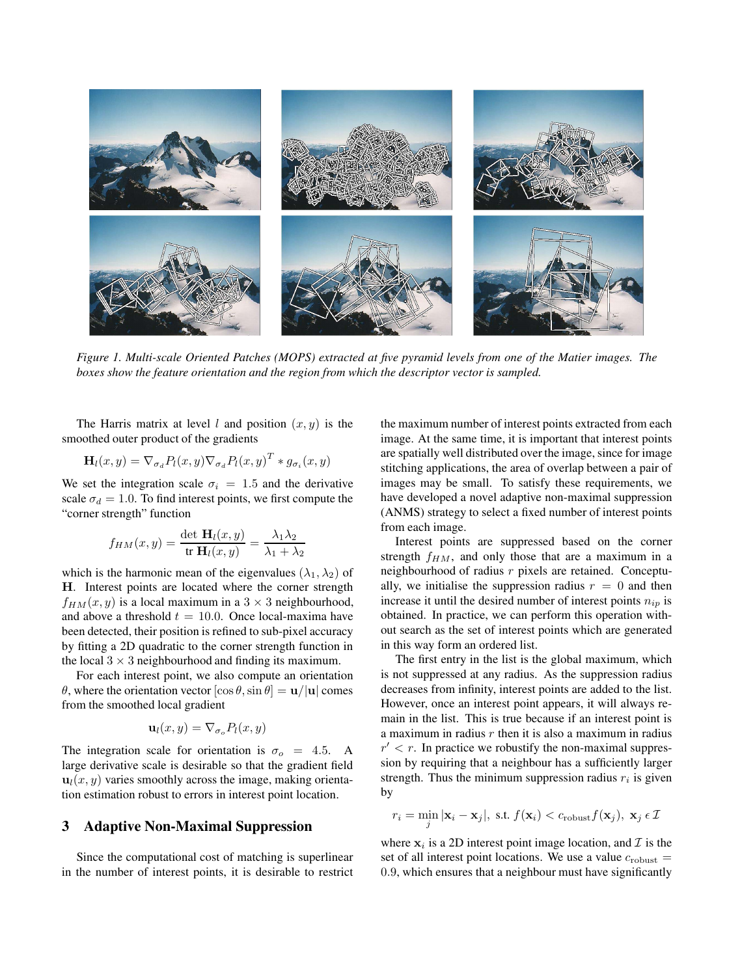

*Figure 1. Multi-scale Oriented Patches (MOPS) extracted at five pyramid levels from one of the Matier images. The boxes show the feature orientation and the region from which the descriptor vector is sampled.*

The Harris matrix at level l and position  $(x, y)$  is the smoothed outer product of the gradients

$$
\mathbf{H}_{l}(x,y) = \nabla_{\sigma_d} P_l(x,y) \nabla_{\sigma_d} P_l(x,y)^T * g_{\sigma_i}(x,y)
$$

We set the integration scale  $\sigma_i = 1.5$  and the derivative scale  $\sigma_d = 1.0$ . To find interest points, we first compute the "corner strength" function

$$
f_{HM}(x,y) = \frac{\det \mathbf{H}_l(x,y)}{\operatorname{tr} \mathbf{H}_l(x,y)} = \frac{\lambda_1 \lambda_2}{\lambda_1 + \lambda_2}
$$

which is the harmonic mean of the eigenvalues  $(\lambda_1, \lambda_2)$  of **H**. Interest points are located where the corner strength  $f_{HM}(x, y)$  is a local maximum in a  $3 \times 3$  neighbourhood, and above a threshold  $t = 10.0$ . Once local-maxima have been detected, their position is refined to sub-pixel accuracy by fitting a 2D quadratic to the corner strength function in the local  $3 \times 3$  neighbourhood and finding its maximum.

For each interest point, we also compute an orientation <sup>θ</sup>, where the orientation vector [cos θ,sin <sup>θ</sup>] = **<sup>u</sup>**/|**u**<sup>|</sup> comes from the smoothed local gradient

$$
\mathbf{u}_l(x,y) = \nabla_{\sigma_o} P_l(x,y)
$$

The integration scale for orientation is  $\sigma_o = 4.5$ . A large derivative scale is desirable so that the gradient field  $\mathbf{u}_l(x, y)$  varies smoothly across the image, making orientation estimation robust to errors in interest point location.

### **3 Adaptive Non-Maximal Suppression**

Since the computational cost of matching is superlinear in the number of interest points, it is desirable to restrict the maximum number of interest points extracted from each image. At the same time, it is important that interest points are spatially well distributed over the image, since for image stitching applications, the area of overlap between a pair of images may be small. To satisfy these requirements, we have developed a novel adaptive non-maximal suppression (ANMS) strategy to select a fixed number of interest points from each image.

Interest points are suppressed based on the corner strength  $f_{HM}$ , and only those that are a maximum in a neighbourhood of radius  $r$  pixels are retained. Conceptually, we initialise the suppression radius  $r = 0$  and then increase it until the desired number of interest points  $n_{ip}$  is obtained. In practice, we can perform this operation without search as the set of interest points which are generated in this way form an ordered list.

The first entry in the list is the global maximum, which is not suppressed at any radius. As the suppression radius decreases from infinity, interest points are added to the list. However, once an interest point appears, it will always remain in the list. This is true because if an interest point is a maximum in radius  $r$  then it is also a maximum in radius  $r' < r$ . In practice we robustify the non-maximal suppression by requiring that a neighbour has a sufficiently larger strength. Thus the minimum suppression radius  $r_i$  is given by

$$
r_i = \min_j |\mathbf{x}_i - \mathbf{x}_j|, \text{ s.t. } f(\mathbf{x}_i) < c_{\text{robust}} f(\mathbf{x}_j), \mathbf{x}_j \in \mathcal{I}
$$

where  $x_i$  is a 2D interest point image location, and  $\mathcal I$  is the set of all interest point locations. We use a value  $c_{\text{robust}} =$ 0.9, which ensures that a neighbour must have significantly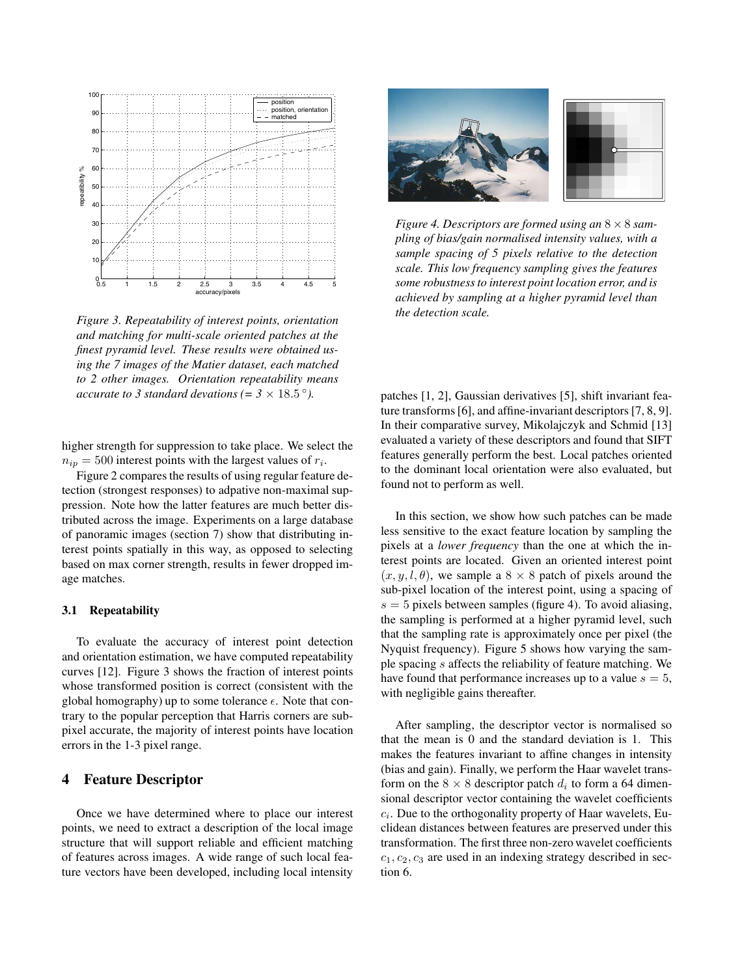

*Figure 3. Repeatability of interest points, orientation and matching for multi-scale oriented patches at the finest pyramid level. These results were obtained using the 7 images of the Matier dataset, each matched to 2 other images. Orientation repeatability means accurate to 3 standard devations (=*  $3 \times 18.5^{\circ}$ *).* 

higher strength for suppression to take place. We select the  $n_{ip} = 500$  interest points with the largest values of  $r_i$ .

Figure 2 compares the results of using regular feature detection (strongest responses) to adpative non-maximal suppression. Note how the latter features are much better distributed across the image. Experiments on a large database of panoramic images (section 7) show that distributing interest points spatially in this way, as opposed to selecting based on max corner strength, results in fewer dropped image matches.

#### **3.1 Repeatability**

To evaluate the accuracy of interest point detection and orientation estimation, we have computed repeatability curves [12]. Figure 3 shows the fraction of interest points whose transformed position is correct (consistent with the global homography) up to some tolerance  $\epsilon$ . Note that contrary to the popular perception that Harris corners are subpixel accurate, the majority of interest points have location errors in the 1-3 pixel range.

### **4 Feature Descriptor**

Once we have determined where to place our interest points, we need to extract a description of the local image structure that will support reliable and efficient matching of features across images. A wide range of such local feature vectors have been developed, including local intensity



*Figure 4. Descriptors are formed using an* <sup>8</sup> <sup>×</sup> <sup>8</sup> *sampling of bias/gain normalised intensity values, with a sample spacing of 5 pixels relative to the detection scale. This low frequency sampling gives the features some robustness to interest point location error, and is achieved by sampling at a higher pyramid level than the detection scale.*

patches [1, 2], Gaussian derivatives [5], shift invariant feature transforms [6], and affine-invariant descriptors [7, 8, 9]. In their comparative survey, Mikolajczyk and Schmid [13] evaluated a variety of these descriptors and found that SIFT features generally perform the best. Local patches oriented to the dominant local orientation were also evaluated, but found not to perform as well.

In this section, we show how such patches can be made less sensitive to the exact feature location by sampling the pixels at a *lower frequency* than the one at which the interest points are located. Given an oriented interest point  $(x, y, l, \theta)$ , we sample a  $8 \times 8$  patch of pixels around the sub-pixel location of the interest point, using a spacing of  $s = 5$  pixels between samples (figure 4). To avoid aliasing, the sampling is performed at a higher pyramid level, such that the sampling rate is approximately once per pixel (the Nyquist frequency). Figure 5 shows how varying the sample spacing s affects the reliability of feature matching. We have found that performance increases up to a value  $s = 5$ , with negligible gains thereafter.

After sampling, the descriptor vector is normalised so that the mean is 0 and the standard deviation is 1. This makes the features invariant to affine changes in intensity (bias and gain). Finally, we perform the Haar wavelet transform on the  $8 \times 8$  descriptor patch  $d_i$  to form a 64 dimensional descriptor vector containing the wavelet coefficients  $c_i$ . Due to the orthogonality property of Haar wavelets, Euclidean distances between features are preserved under this transformation. The first three non-zero wavelet coefficients  $c_1, c_2, c_3$  are used in an indexing strategy described in section 6.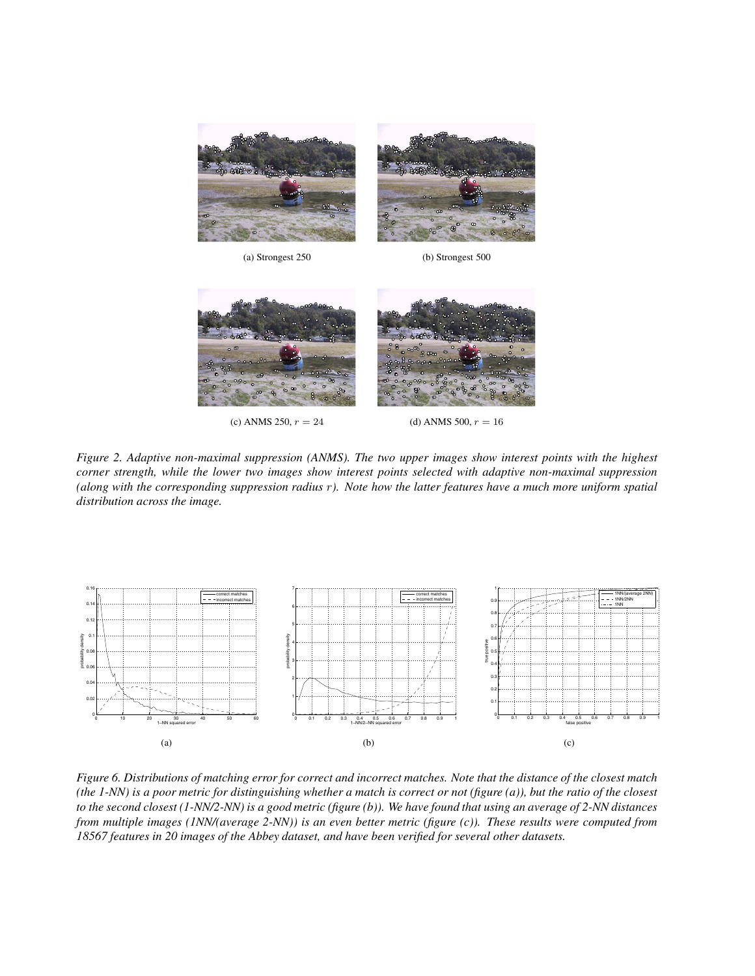

(a) Strongest 250 (b) Strongest 500



(c) ANMS 250,  $r = 24$  (d) ANMS 500,  $r = 16$ 

*Figure 2. Adaptive non-maximal suppression (ANMS). The two upper images show interest points with the highest corner strength, while the lower two images show interest points selected with adaptive non-maximal suppression (along with the corresponding suppression radius* r*). Note how the latter features have a much more uniform spatial distribution across the image.*



*Figure 6. Distributions of matching error for correct and incorrect matches. Note that the distance of the closest match (the 1-NN) is a poor metric for distinguishing whether a match is correct or not (figure (a)), but the ratio of the closest to the second closest (1-NN/2-NN) is a good metric (figure (b)). We have found that using an average of 2-NN distances from multiple images (1NN/(average 2-NN)) is an even better metric (figure (c)). These results were computed from 18567 features in 20 images of the Abbey dataset, and have been verified for several other datasets.*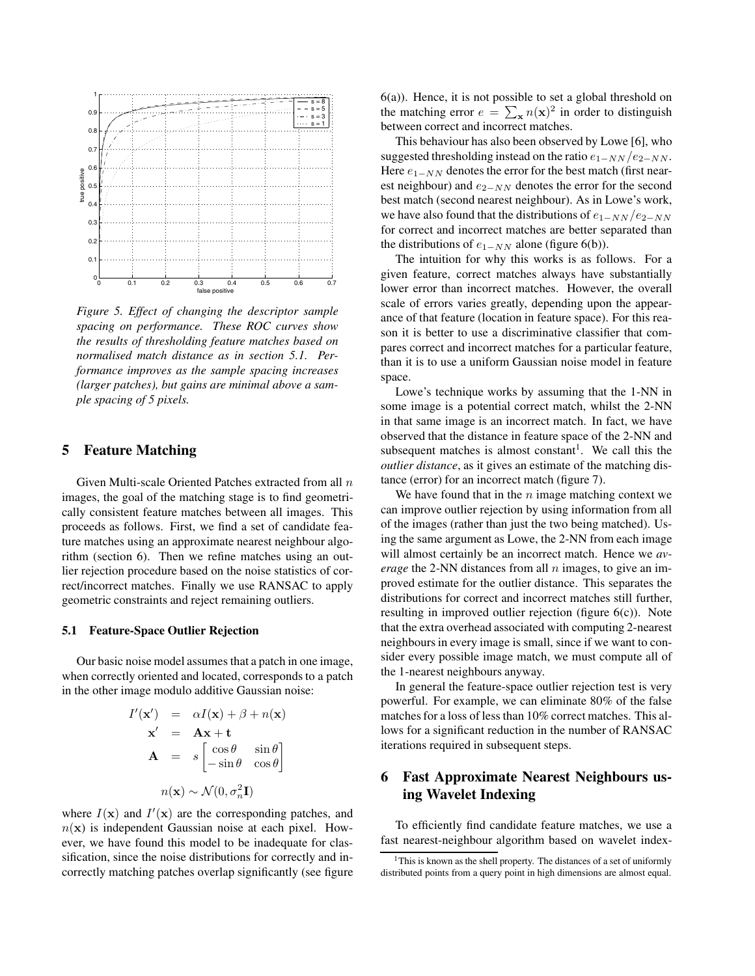

*Figure 5. Effect of changing the descriptor sample spacing on performance. These ROC curves show the results of thresholding feature matches based on normalised match distance as in section 5.1. Performance improves as the sample spacing increases (larger patches), but gains are minimal above a sample spacing of 5 pixels.*

## **5 Feature Matching**

Given Multi-scale Oriented Patches extracted from all n images, the goal of the matching stage is to find geometrically consistent feature matches between all images. This proceeds as follows. First, we find a set of candidate feature matches using an approximate nearest neighbour algorithm (section 6). Then we refine matches using an outlier rejection procedure based on the noise statistics of correct/incorrect matches. Finally we use RANSAC to apply geometric constraints and reject remaining outliers.

#### **5.1 Feature-Space Outlier Rejection**

Our basic noise model assumes that a patch in one image, when correctly oriented and located, corresponds to a patch in the other image modulo additive Gaussian noise:

$$
I'(\mathbf{x}') = \alpha I(\mathbf{x}) + \beta + n(\mathbf{x})
$$
  

$$
\mathbf{x}' = \mathbf{A}\mathbf{x} + \mathbf{t}
$$
  

$$
\mathbf{A} = s \begin{bmatrix} \cos \theta & \sin \theta \\ -\sin \theta & \cos \theta \end{bmatrix}
$$
  

$$
n(\mathbf{x}) \sim \mathcal{N}(0, \sigma_n^2 \mathbf{I})
$$

where  $I(x)$  and  $I'(x)$  are the corresponding patches, and  $n(x)$  is independent Gaussian noise at each pixel. However, we have found this model to be inadequate for classification, since the noise distributions for correctly and incorrectly matching patches overlap significantly (see figure 6(a)). Hence, it is not possible to set a global threshold on the matching error  $e = \sum_{\mathbf{x}} n(\mathbf{x})^2$  in order to distinguish between correct and incorrect matches.

This behaviour has also been observed by Lowe [6], who suggested thresholding instead on the ratio  $e_{1-NN}/e_{2-NN}$ . Here  $e_{1-NN}$  denotes the error for the best match (first nearest neighbour) and  $e_{2-NN}$  denotes the error for the second best match (second nearest neighbour). As in Lowe's work, we have also found that the distributions of  $e_{1-NN}/e_{2-NN}$ for correct and incorrect matches are better separated than the distributions of  $e_{1-NN}$  alone (figure 6(b)).

The intuition for why this works is as follows. For a given feature, correct matches always have substantially lower error than incorrect matches. However, the overall scale of errors varies greatly, depending upon the appearance of that feature (location in feature space). For this reason it is better to use a discriminative classifier that compares correct and incorrect matches for a particular feature, than it is to use a uniform Gaussian noise model in feature space.

Lowe's technique works by assuming that the 1-NN in some image is a potential correct match, whilst the 2-NN in that same image is an incorrect match. In fact, we have observed that the distance in feature space of the 2-NN and subsequent matches is almost constant<sup>1</sup>. We call this the *outlier distance*, as it gives an estimate of the matching distance (error) for an incorrect match (figure 7).

We have found that in the  $n$  image matching context we can improve outlier rejection by using information from all of the images (rather than just the two being matched). Using the same argument as Lowe, the 2-NN from each image will almost certainly be an incorrect match. Hence we *average* the 2-NN distances from all *n* images, to give an improved estimate for the outlier distance. This separates the distributions for correct and incorrect matches still further, resulting in improved outlier rejection (figure 6(c)). Note that the extra overhead associated with computing 2-nearest neighbours in every image is small, since if we want to consider every possible image match, we must compute all of the 1-nearest neighbours anyway.

In general the feature-space outlier rejection test is very powerful. For example, we can eliminate 80% of the false matches for a loss of less than 10% correct matches. This allows for a significant reduction in the number of RANSAC iterations required in subsequent steps.

# **6 Fast Approximate Nearest Neighbours using Wavelet Indexing**

To efficiently find candidate feature matches, we use a fast nearest-neighbour algorithm based on wavelet index-

<sup>&</sup>lt;sup>1</sup>This is known as the shell property. The distances of a set of uniformly distributed points from a query point in high dimensions are almost equal.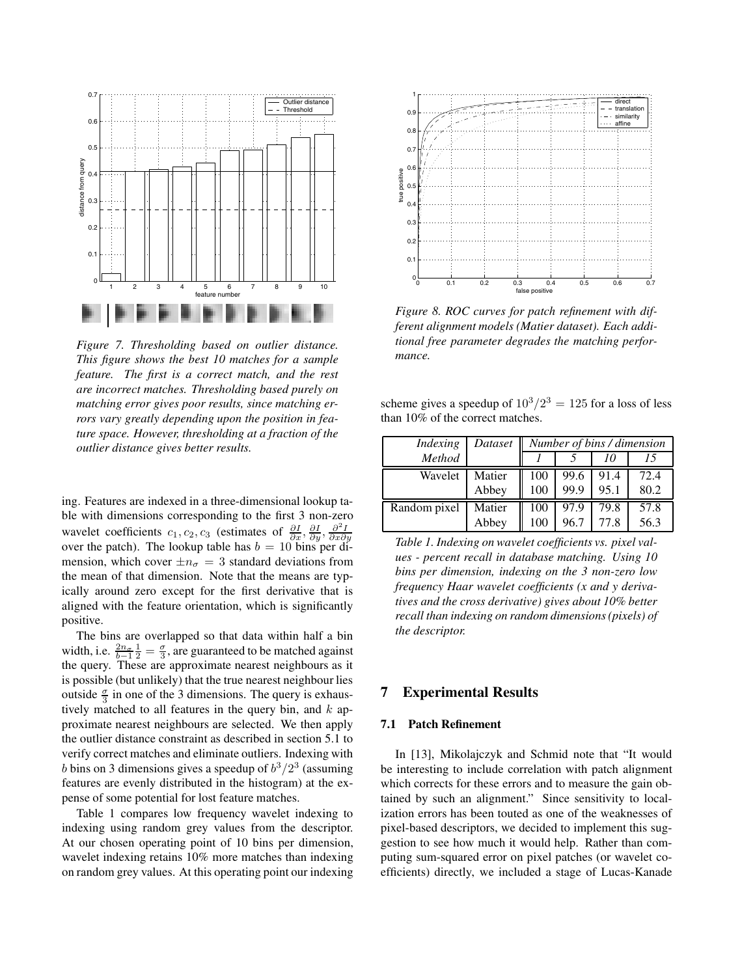

*Figure 7. Thresholding based on outlier distance. This figure shows the best 10 matches for a sample feature. The first is a correct match, and the rest are incorrect matches. Thresholding based purely on matching error gives poor results, since matching errors vary greatly depending upon the position in feature space. However, thresholding at a fraction of the outlier distance gives better results.*

ing. Features are indexed in a three-dimensional lookup table with dimensions corresponding to the first 3 non-zero wavelet coefficients  $c_1, c_2, c_3$  (estimates of  $\frac{\partial I}{\partial x}, \frac{\partial I}{\partial y}, \frac{\partial^2 I}{\partial x \partial y}$ <br>over the patch). The lookup table has  $b = 10$  bins per dimension, which cover  $\pm n_{\sigma} = 3$  standard deviations from the mean of that dimension. Note that the means are typically around zero except for the first derivative that is aligned with the feature orientation, which is significantly positive.

The bins are overlapped so that data within half a bin width, i.e.  $\frac{2n_{\sigma}}{b-1} \frac{1}{2} = \frac{\sigma}{3}$ , are guaranteed to be matched against the query. These are approximate nearest neighbours as it is possible (but unlikely) that the true nearest neighbour lies outside  $\frac{\sigma}{3}$  in one of the 3 dimensions. The query is exhaustively matched to all features in the query bin, and  $k$  approximate nearest neighbours are selected. We then apply the outlier distance constraint as described in section 5.1 to verify correct matches and eliminate outliers. Indexing with b bins on 3 dimensions gives a speedup of  $b^3/2^3$  (assuming features are evenly distributed in the histogram) at the expense of some potential for lost feature matches.

Table 1 compares low frequency wavelet indexing to indexing using random grey values from the descriptor. At our chosen operating point of 10 bins per dimension, wavelet indexing retains 10% more matches than indexing on random grey values. At this operating point our indexing



*Figure 8. ROC curves for patch refinement with different alignment models (Matier dataset). Each additional free parameter degrades the matching performance.*

scheme gives a speedup of  $10^3/2^3 = 125$  for a loss of less than 10% of the correct matches.

| Indexing     | Dataset | Number of bins / dimension |      |      |      |
|--------------|---------|----------------------------|------|------|------|
| Method       |         |                            |      | 10   |      |
| Wavelet      | Matier  | 100                        | 99.6 | 91.4 | 72.4 |
|              | Abbey   | 100                        | 99.9 | 95.1 | 80.2 |
| Random pixel | Matier  | 100                        | 97.9 | 79.8 | 57.8 |
|              | Abbey   | 100                        | 96.7 | 77.8 | 56.3 |

*Table 1. Indexing on wavelet coefficients vs. pixel values - percent recall in database matching. Using 10 bins per dimension, indexing on the 3 non-zero low frequency Haar wavelet coefficients (x and y derivatives and the cross derivative) gives about 10% better recall than indexing on random dimensions (pixels) of the descriptor.*

## **7 Experimental Results**

#### **7.1 Patch Refinement**

In [13], Mikolajczyk and Schmid note that "It would be interesting to include correlation with patch alignment which corrects for these errors and to measure the gain obtained by such an alignment." Since sensitivity to localization errors has been touted as one of the weaknesses of pixel-based descriptors, we decided to implement this suggestion to see how much it would help. Rather than computing sum-squared error on pixel patches (or wavelet coefficients) directly, we included a stage of Lucas-Kanade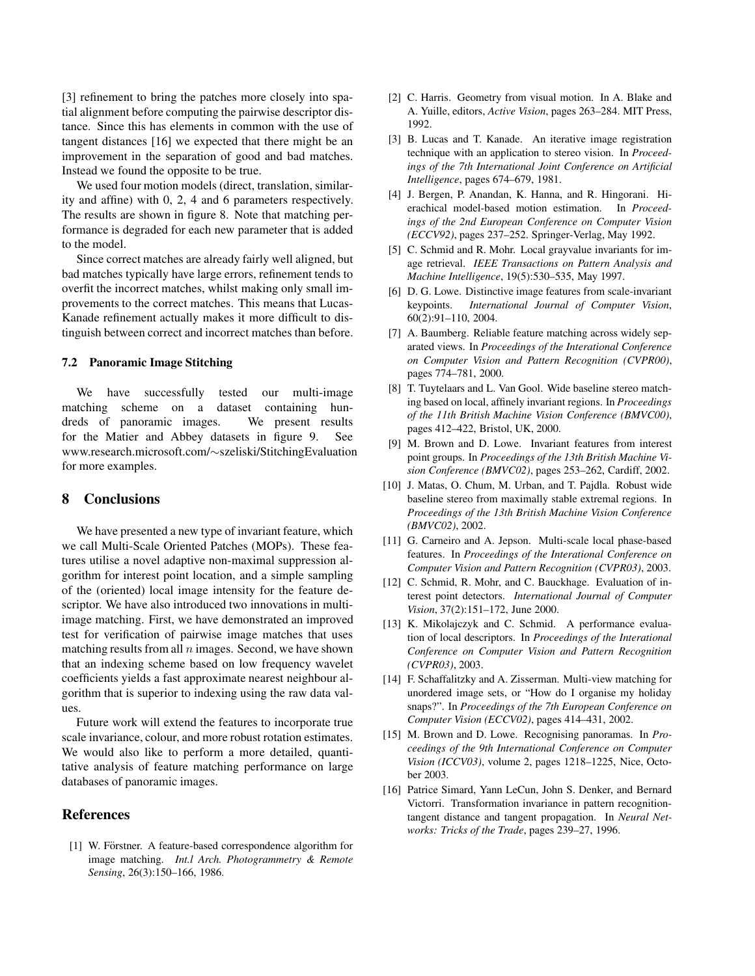[3] refinement to bring the patches more closely into spatial alignment before computing the pairwise descriptor distance. Since this has elements in common with the use of tangent distances [16] we expected that there might be an improvement in the separation of good and bad matches. Instead we found the opposite to be true.

We used four motion models (direct, translation, similarity and affine) with 0, 2, 4 and 6 parameters respectively. The results are shown in figure 8. Note that matching performance is degraded for each new parameter that is added to the model.

Since correct matches are already fairly well aligned, but bad matches typically have large errors, refinement tends to overfit the incorrect matches, whilst making only small improvements to the correct matches. This means that Lucas-Kanade refinement actually makes it more difficult to distinguish between correct and incorrect matches than before.

#### **7.2 Panoramic Image Stitching**

We have successfully tested our multi-image matching scheme on a dataset containing hundreds of panoramic images. We present results for the Matier and Abbey datasets in figure 9. See www.research.microsoft.com/∼szeliski/StitchingEvaluation for more examples.

#### **8 Conclusions**

We have presented a new type of invariant feature, which we call Multi-Scale Oriented Patches (MOPs). These features utilise a novel adaptive non-maximal suppression algorithm for interest point location, and a simple sampling of the (oriented) local image intensity for the feature descriptor. We have also introduced two innovations in multiimage matching. First, we have demonstrated an improved test for verification of pairwise image matches that uses matching results from all  $n$  images. Second, we have shown that an indexing scheme based on low frequency wavelet coefficients yields a fast approximate nearest neighbour algorithm that is superior to indexing using the raw data values.

Future work will extend the features to incorporate true scale invariance, colour, and more robust rotation estimates. We would also like to perform a more detailed, quantitative analysis of feature matching performance on large databases of panoramic images.

## **References**

[1] W. Förstner. A feature-based correspondence algorithm for image matching. *Int.l Arch. Photogrammetry & Remote Sensing*, 26(3):150–166, 1986.

- [2] C. Harris. Geometry from visual motion. In A. Blake and A. Yuille, editors, *Active Vision*, pages 263–284. MIT Press, 1992.
- [3] B. Lucas and T. Kanade. An iterative image registration technique with an application to stereo vision. In *Proceedings of the 7th International Joint Conference on Artificial Intelligence*, pages 674–679, 1981.
- [4] J. Bergen, P. Anandan, K. Hanna, and R. Hingorani. Hierachical model-based motion estimation. In *Proceedings of the 2nd European Conference on Computer Vision (ECCV92)*, pages 237–252. Springer-Verlag, May 1992.
- [5] C. Schmid and R. Mohr. Local grayvalue invariants for image retrieval. *IEEE Transactions on Pattern Analysis and Machine Intelligence*, 19(5):530–535, May 1997.
- [6] D. G. Lowe. Distinctive image features from scale-invariant keypoints. *International Journal of Computer Vision*, 60(2):91–110, 2004.
- [7] A. Baumberg. Reliable feature matching across widely separated views. In *Proceedings of the Interational Conference on Computer Vision and Pattern Recognition (CVPR00)*, pages 774–781, 2000.
- [8] T. Tuytelaars and L. Van Gool. Wide baseline stereo matching based on local, affinely invariant regions. In *Proceedings of the 11th British Machine Vision Conference (BMVC00)*, pages 412–422, Bristol, UK, 2000.
- [9] M. Brown and D. Lowe. Invariant features from interest point groups. In *Proceedings of the 13th British Machine Vision Conference (BMVC02)*, pages 253–262, Cardiff, 2002.
- [10] J. Matas, O. Chum, M. Urban, and T. Pajdla. Robust wide baseline stereo from maximally stable extremal regions. In *Proceedings of the 13th British Machine Vision Conference (BMVC02)*, 2002.
- [11] G. Carneiro and A. Jepson. Multi-scale local phase-based features. In *Proceedings of the Interational Conference on Computer Vision and Pattern Recognition (CVPR03)*, 2003.
- [12] C. Schmid, R. Mohr, and C. Bauckhage. Evaluation of interest point detectors. *International Journal of Computer Vision*, 37(2):151–172, June 2000.
- [13] K. Mikolajczyk and C. Schmid. A performance evaluation of local descriptors. In *Proceedings of the Interational Conference on Computer Vision and Pattern Recognition (CVPR03)*, 2003.
- [14] F. Schaffalitzky and A. Zisserman. Multi-view matching for unordered image sets, or "How do I organise my holiday snaps?". In *Proceedings of the 7th European Conference on Computer Vision (ECCV02)*, pages 414–431, 2002.
- [15] M. Brown and D. Lowe. Recognising panoramas. In *Proceedings of the 9th International Conference on Computer Vision (ICCV03)*, volume 2, pages 1218–1225, Nice, October 2003.
- [16] Patrice Simard, Yann LeCun, John S. Denker, and Bernard Victorri. Transformation invariance in pattern recognitiontangent distance and tangent propagation. In *Neural Networks: Tricks of the Trade*, pages 239–27, 1996.